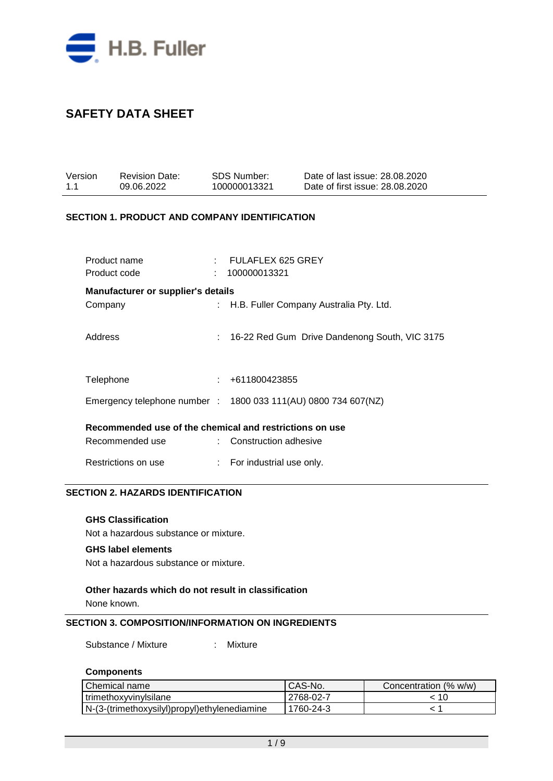

| Version<br>1.1 |                              | Revision Date:<br>09.06.2022                                   | SDS Number:<br>100000013321             | Date of last issue: 28,08,2020<br>Date of first issue: 28.08.2020 |
|----------------|------------------------------|----------------------------------------------------------------|-----------------------------------------|-------------------------------------------------------------------|
|                |                              | <b>SECTION 1. PRODUCT AND COMPANY IDENTIFICATION</b>           |                                         |                                                                   |
|                | Product name<br>Product code |                                                                | $:$ FULAFLEX 625 GREY<br>: 100000013321 |                                                                   |
|                |                              | <b>Manufacturer or supplier's details</b>                      |                                         |                                                                   |
|                | Company                      |                                                                |                                         | : H.B. Fuller Company Australia Pty. Ltd.                         |
|                | Address                      |                                                                |                                         | : 16-22 Red Gum Drive Dandenong South, VIC 3175                   |
|                | Telephone                    |                                                                | $\div$ +611800423855                    |                                                                   |
|                |                              | Emergency telephone number : 1800 033 111(AU) 0800 734 607(NZ) |                                         |                                                                   |
|                |                              | Recommended use of the chemical and restrictions on use        |                                         |                                                                   |
|                |                              | Recommended use                                                | : Construction adhesive                 |                                                                   |
|                |                              | Restrictions on use                                            | : For industrial use only.              |                                                                   |

## **SECTION 2. HAZARDS IDENTIFICATION**

#### **GHS Classification**

Not a hazardous substance or mixture.

### **GHS label elements**

Not a hazardous substance or mixture.

#### **Other hazards which do not result in classification**

None known.

#### **SECTION 3. COMPOSITION/INFORMATION ON INGREDIENTS**

Substance / Mixture : Mixture

#### **Components**

| Chemical name                                | CAS-No.     | Concentration (% w/w) |
|----------------------------------------------|-------------|-----------------------|
| trimethoxyvinylsilane                        | l 2768-02-7 |                       |
| N-(3-(trimethoxysilyl)propyl)ethylenediamine | 1760-24-3   |                       |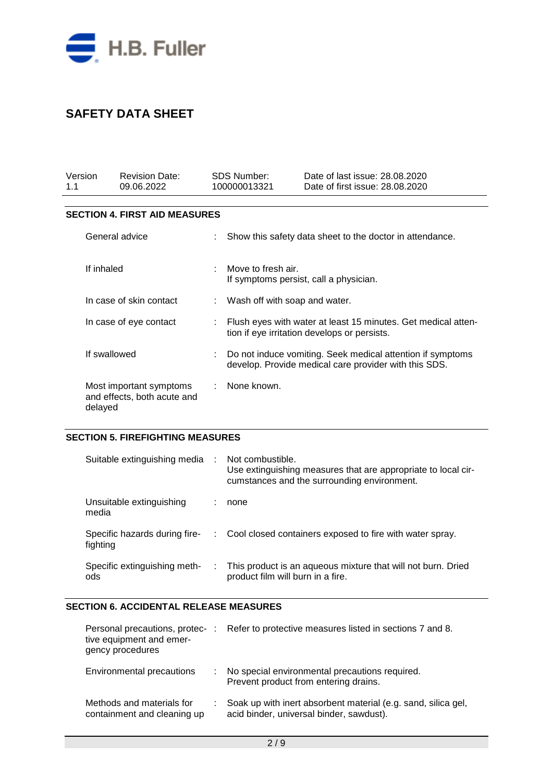

| Version<br>1.1                                                    | <b>Revision Date:</b><br>09.06.2022  |  | <b>SDS Number:</b><br>100000013321                                                                                  | Date of last issue: 28.08.2020<br>Date of first issue: 28.08.2020 |  |
|-------------------------------------------------------------------|--------------------------------------|--|---------------------------------------------------------------------------------------------------------------------|-------------------------------------------------------------------|--|
|                                                                   | <b>SECTION 4. FIRST AID MEASURES</b> |  |                                                                                                                     |                                                                   |  |
| General advice                                                    |                                      |  | Show this safety data sheet to the doctor in attendance.                                                            |                                                                   |  |
|                                                                   | If inhaled                           |  | Move to fresh air.<br>If symptoms persist, call a physician.                                                        |                                                                   |  |
|                                                                   | In case of skin contact              |  | : Wash off with soap and water.                                                                                     |                                                                   |  |
| In case of eye contact                                            |                                      |  | Flush eyes with water at least 15 minutes. Get medical atten-<br>tion if eye irritation develops or persists.       |                                                                   |  |
| If swallowed                                                      |                                      |  | Do not induce vomiting. Seek medical attention if symptoms<br>develop. Provide medical care provider with this SDS. |                                                                   |  |
| Most important symptoms<br>and effects, both acute and<br>delayed |                                      |  | None known.                                                                                                         |                                                                   |  |

#### **SECTION 5. FIREFIGHTING MEASURES**

| Suitable extinguishing media              | $\sim 10$ | Not combustible.<br>Use extinguishing measures that are appropriate to local cir-<br>cumstances and the surrounding environment. |
|-------------------------------------------|-----------|----------------------------------------------------------------------------------------------------------------------------------|
| Unsuitable extinguishing<br>media         |           | none                                                                                                                             |
| Specific hazards during fire-<br>fighting |           | : Cool closed containers exposed to fire with water spray.                                                                       |
| Specific extinguishing meth-<br>ods       | ÷.        | This product is an aqueous mixture that will not burn. Dried<br>product film will burn in a fire.                                |

## **SECTION 6. ACCIDENTAL RELEASE MEASURES**

| tive equipment and emer-<br>gency procedures             | Personal precautions, protec-: Refer to protective measures listed in sections 7 and 8.                   |
|----------------------------------------------------------|-----------------------------------------------------------------------------------------------------------|
| Environmental precautions                                | No special environmental precautions required.<br>Prevent product from entering drains.                   |
| Methods and materials for<br>containment and cleaning up | Soak up with inert absorbent material (e.g. sand, silica gel,<br>acid binder, universal binder, sawdust). |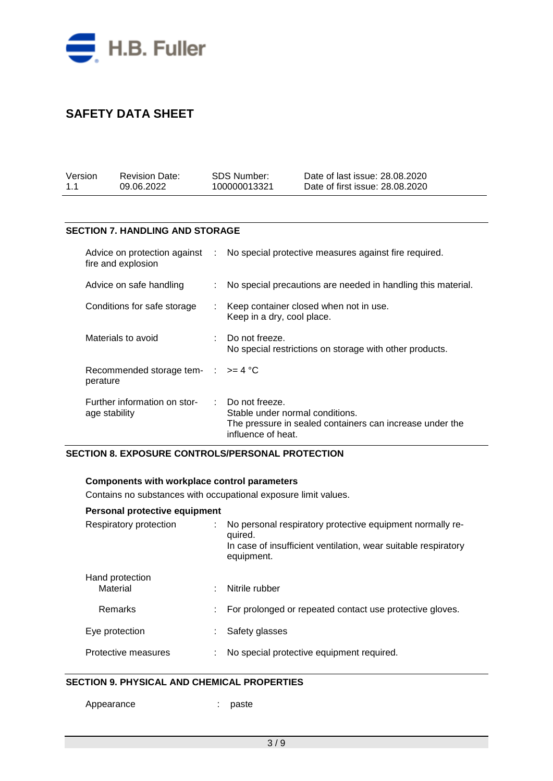

| Version | <b>Revision Date:</b> | SDS Number:  | Date of last issue: 28,08,2020  |
|---------|-----------------------|--------------|---------------------------------|
| 1.1     | 09.06.2022            | 100000013321 | Date of first issue: 28,08,2020 |

### **SECTION 7. HANDLING AND STORAGE**

| Advice on protection against :<br>fire and explosion      |                           | No special protective measures against fire required.                                                                                            |
|-----------------------------------------------------------|---------------------------|--------------------------------------------------------------------------------------------------------------------------------------------------|
| Advice on safe handling                                   | ÷                         | No special precautions are needed in handling this material.                                                                                     |
| Conditions for safe storage                               | $\mathbb{Z}^{\mathbb{Z}}$ | Keep container closed when not in use.<br>Keep in a dry, cool place.                                                                             |
| Materials to avoid                                        |                           | $\therefore$ Do not freeze.<br>No special restrictions on storage with other products.                                                           |
| Recommended storage tem- $\therefore$ >= 4 °C<br>perature |                           |                                                                                                                                                  |
| Further information on stor-<br>age stability             |                           | $\therefore$ Do not freeze.<br>Stable under normal conditions.<br>The pressure in sealed containers can increase under the<br>influence of heat. |

#### **SECTION 8. EXPOSURE CONTROLS/PERSONAL PROTECTION**

#### **Components with workplace control parameters**

Contains no substances with occupational exposure limit values.

| Personal protective equipment |  |                                                                                                                                                      |  |  |  |  |
|-------------------------------|--|------------------------------------------------------------------------------------------------------------------------------------------------------|--|--|--|--|
| Respiratory protection        |  | No personal respiratory protective equipment normally re-<br>quired.<br>In case of insufficient ventilation, wear suitable respiratory<br>equipment. |  |  |  |  |
| Hand protection<br>Material   |  | Nitrile rubber                                                                                                                                       |  |  |  |  |
| Remarks                       |  | For prolonged or repeated contact use protective gloves.                                                                                             |  |  |  |  |
| Eye protection                |  | Safety glasses                                                                                                                                       |  |  |  |  |
| Protective measures           |  | No special protective equipment required.                                                                                                            |  |  |  |  |

## **SECTION 9. PHYSICAL AND CHEMICAL PROPERTIES**

Appearance : paste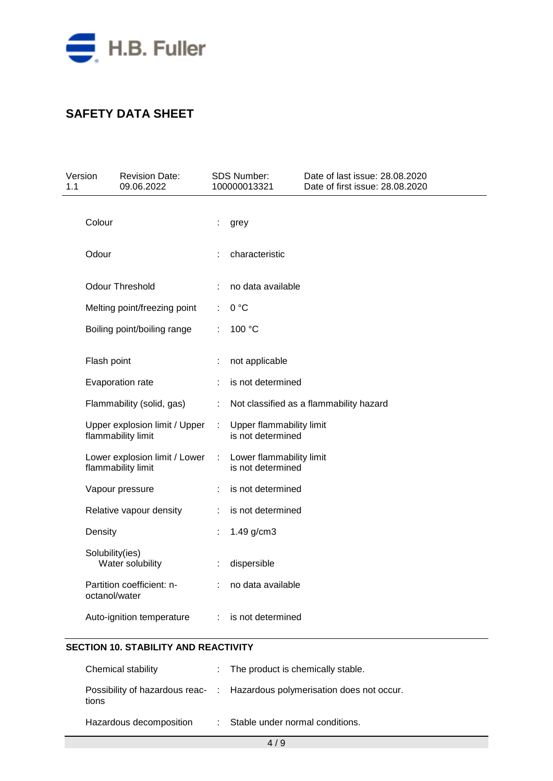

| Version<br>1.1 |                 | <b>Revision Date:</b><br>09.06.2022                 |   | SDS Number:<br>100000013321                   | Date of last issue: 28.08.2020<br>Date of first issue: 28.08.2020 |
|----------------|-----------------|-----------------------------------------------------|---|-----------------------------------------------|-------------------------------------------------------------------|
|                | Colour          |                                                     | ÷ | grey                                          |                                                                   |
|                | Odour           |                                                     |   | characteristic                                |                                                                   |
|                |                 | <b>Odour Threshold</b>                              |   | no data available                             |                                                                   |
|                |                 | Melting point/freezing point                        | ÷ | 0 °C                                          |                                                                   |
|                |                 | Boiling point/boiling range                         |   | 100 °C                                        |                                                                   |
|                | Flash point     |                                                     |   | not applicable                                |                                                                   |
|                |                 | Evaporation rate                                    |   | is not determined                             |                                                                   |
|                |                 | Flammability (solid, gas)                           | ÷ |                                               | Not classified as a flammability hazard                           |
|                |                 | Upper explosion limit / Upper<br>flammability limit |   | Upper flammability limit<br>is not determined |                                                                   |
|                |                 | Lower explosion limit / Lower<br>flammability limit |   | Lower flammability limit<br>is not determined |                                                                   |
|                |                 | Vapour pressure                                     | ÷ | is not determined                             |                                                                   |
|                |                 | Relative vapour density                             | ÷ | is not determined                             |                                                                   |
|                | Density         |                                                     |   | 1.49 g/cm3                                    |                                                                   |
|                | Solubility(ies) | Water solubility                                    |   | dispersible                                   |                                                                   |
|                | octanol/water   | Partition coefficient: n-                           |   | no data available                             |                                                                   |
|                |                 | Auto-ignition temperature                           | ÷ | is not determined                             |                                                                   |

## **SECTION 10. STABILITY AND REACTIVITY**

| Chemical stability      | : The product is chemically stable.                                       |
|-------------------------|---------------------------------------------------------------------------|
| tions                   | Possibility of hazardous reac- : Hazardous polymerisation does not occur. |
| Hazardous decomposition | : Stable under normal conditions.                                         |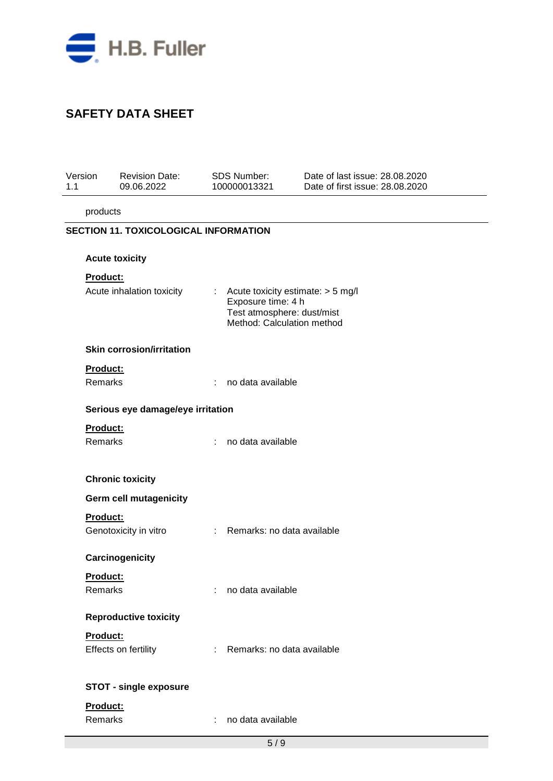

| Version<br>1.1 |                                              | <b>Revision Date:</b><br>09.06.2022 |    | <b>SDS Number:</b><br>100000013321                                                                                  | Date of last issue: 28.08.2020<br>Date of first issue: 28.08.2020 |  |  |  |  |  |  |
|----------------|----------------------------------------------|-------------------------------------|----|---------------------------------------------------------------------------------------------------------------------|-------------------------------------------------------------------|--|--|--|--|--|--|
|                | products                                     |                                     |    |                                                                                                                     |                                                                   |  |  |  |  |  |  |
|                | <b>SECTION 11. TOXICOLOGICAL INFORMATION</b> |                                     |    |                                                                                                                     |                                                                   |  |  |  |  |  |  |
|                |                                              | <b>Acute toxicity</b>               |    |                                                                                                                     |                                                                   |  |  |  |  |  |  |
|                | Product:                                     |                                     |    |                                                                                                                     |                                                                   |  |  |  |  |  |  |
|                |                                              | Acute inhalation toxicity           | t. | Acute toxicity estimate: > 5 mg/l<br>Exposure time: 4 h<br>Test atmosphere: dust/mist<br>Method: Calculation method |                                                                   |  |  |  |  |  |  |
|                |                                              | <b>Skin corrosion/irritation</b>    |    |                                                                                                                     |                                                                   |  |  |  |  |  |  |
|                | Product:                                     |                                     |    |                                                                                                                     |                                                                   |  |  |  |  |  |  |
|                | Remarks                                      |                                     | ÷  | no data available                                                                                                   |                                                                   |  |  |  |  |  |  |
|                |                                              | Serious eye damage/eye irritation   |    |                                                                                                                     |                                                                   |  |  |  |  |  |  |
|                | Product:                                     |                                     |    |                                                                                                                     |                                                                   |  |  |  |  |  |  |
|                | Remarks                                      |                                     | ÷  | no data available                                                                                                   |                                                                   |  |  |  |  |  |  |
|                |                                              |                                     |    |                                                                                                                     |                                                                   |  |  |  |  |  |  |
|                |                                              | <b>Chronic toxicity</b>             |    |                                                                                                                     |                                                                   |  |  |  |  |  |  |
|                |                                              | Germ cell mutagenicity              |    |                                                                                                                     |                                                                   |  |  |  |  |  |  |
|                | Product:                                     | Genotoxicity in vitro               |    | : Remarks: no data available                                                                                        |                                                                   |  |  |  |  |  |  |
|                |                                              |                                     |    |                                                                                                                     |                                                                   |  |  |  |  |  |  |
|                |                                              | Carcinogenicity                     |    |                                                                                                                     |                                                                   |  |  |  |  |  |  |
|                | Product:<br>Remarks                          |                                     |    | no data available                                                                                                   |                                                                   |  |  |  |  |  |  |
|                |                                              |                                     |    |                                                                                                                     |                                                                   |  |  |  |  |  |  |
|                |                                              | <b>Reproductive toxicity</b>        |    |                                                                                                                     |                                                                   |  |  |  |  |  |  |
|                | Product:                                     |                                     | ÷. | Remarks: no data available                                                                                          |                                                                   |  |  |  |  |  |  |
|                |                                              | Effects on fertility                |    |                                                                                                                     |                                                                   |  |  |  |  |  |  |
|                |                                              | <b>STOT - single exposure</b>       |    |                                                                                                                     |                                                                   |  |  |  |  |  |  |
|                | Product:                                     |                                     |    |                                                                                                                     |                                                                   |  |  |  |  |  |  |
|                | Remarks                                      |                                     | ÷  | no data available                                                                                                   |                                                                   |  |  |  |  |  |  |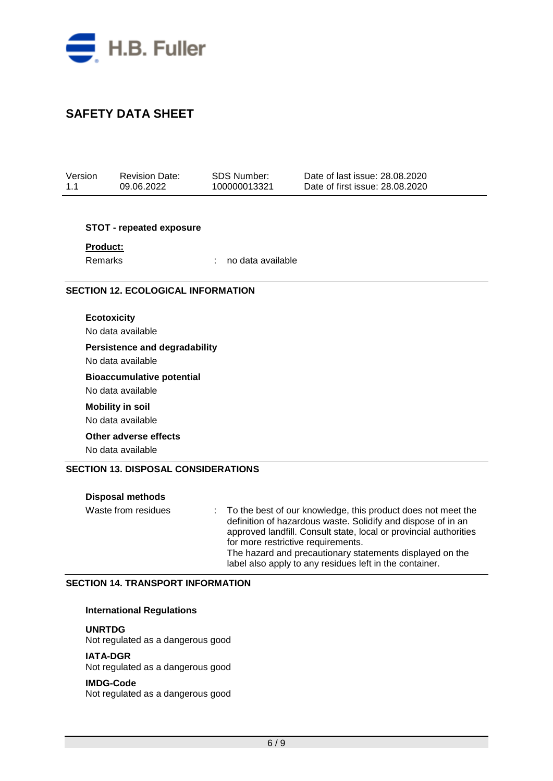

| Version | <b>Revision Date:</b> | SDS Number:  | Date of last issue: 28,08,2020  |
|---------|-----------------------|--------------|---------------------------------|
| 1.1     | 09.06.2022            | 100000013321 | Date of first issue: 28.08.2020 |

#### **STOT - repeated exposure**

**Product:**

Remarks : no data available

### **SECTION 12. ECOLOGICAL INFORMATION**

**Ecotoxicity**

No data available

#### **Persistence and degradability**

No data available

#### **Bioaccumulative potential**

No data available

## **Mobility in soil**

No data available

#### **Other adverse effects**

No data available

#### **SECTION 13. DISPOSAL CONSIDERATIONS**

#### **Disposal methods**

Waste from residues : To the best of our knowledge, this product does not meet the definition of hazardous waste. Solidify and dispose of in an approved landfill. Consult state, local or provincial authorities for more restrictive requirements. The hazard and precautionary statements displayed on the label also apply to any residues left in the container.

### **SECTION 14. TRANSPORT INFORMATION**

#### **International Regulations**

**UNRTDG**

Not regulated as a dangerous good

#### **IATA-DGR**

Not regulated as a dangerous good

#### **IMDG-Code**

Not regulated as a dangerous good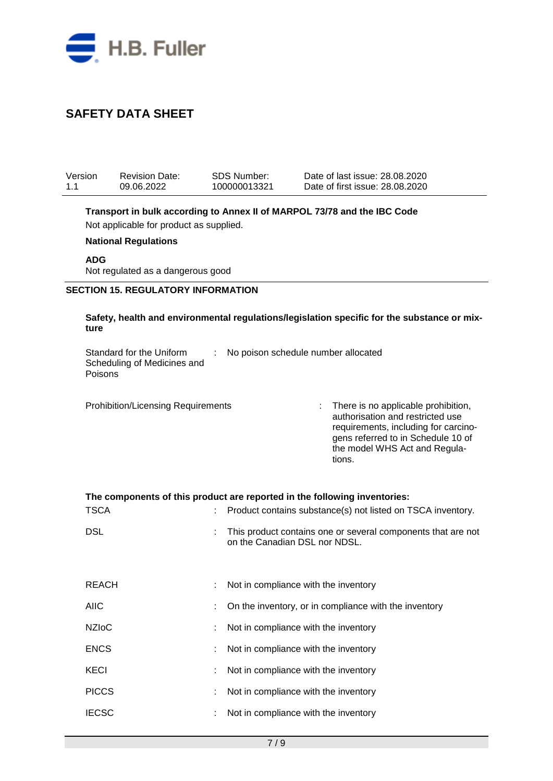

| Version<br>1.1                                                                                                                                                                                        | <b>Revision Date:</b><br>09.06.2022                     |  | <b>SDS Number:</b><br>100000013321                                                                                                                           |                                                                                                                                                                                                  | Date of last issue: 28.08.2020<br>Date of first issue: 28.08.2020 |  |  |  |  |
|-------------------------------------------------------------------------------------------------------------------------------------------------------------------------------------------------------|---------------------------------------------------------|--|--------------------------------------------------------------------------------------------------------------------------------------------------------------|--------------------------------------------------------------------------------------------------------------------------------------------------------------------------------------------------|-------------------------------------------------------------------|--|--|--|--|
| Transport in bulk according to Annex II of MARPOL 73/78 and the IBC Code<br>Not applicable for product as supplied.<br><b>National Regulations</b><br><b>ADG</b><br>Not regulated as a dangerous good |                                                         |  |                                                                                                                                                              |                                                                                                                                                                                                  |                                                                   |  |  |  |  |
| <b>SECTION 15. REGULATORY INFORMATION</b>                                                                                                                                                             |                                                         |  |                                                                                                                                                              |                                                                                                                                                                                                  |                                                                   |  |  |  |  |
| Safety, health and environmental regulations/legislation specific for the substance or mix-<br>ture                                                                                                   |                                                         |  |                                                                                                                                                              |                                                                                                                                                                                                  |                                                                   |  |  |  |  |
| Poisons                                                                                                                                                                                               | Standard for the Uniform<br>Scheduling of Medicines and |  | No poison schedule number allocated                                                                                                                          |                                                                                                                                                                                                  |                                                                   |  |  |  |  |
|                                                                                                                                                                                                       | <b>Prohibition/Licensing Requirements</b>               |  |                                                                                                                                                              | There is no applicable prohibition,<br>authorisation and restricted use<br>requirements, including for carcino-<br>gens referred to in Schedule 10 of<br>the model WHS Act and Regula-<br>tions. |                                                                   |  |  |  |  |
| The components of this product are reported in the following inventories:<br><b>TSCA</b>                                                                                                              |                                                         |  |                                                                                                                                                              |                                                                                                                                                                                                  |                                                                   |  |  |  |  |
| <b>DSL</b>                                                                                                                                                                                            |                                                         |  | Product contains substance(s) not listed on TSCA inventory.<br>This product contains one or several components that are not<br>on the Canadian DSL nor NDSL. |                                                                                                                                                                                                  |                                                                   |  |  |  |  |
| <b>REACH</b>                                                                                                                                                                                          |                                                         |  | Not in compliance with the inventory                                                                                                                         |                                                                                                                                                                                                  |                                                                   |  |  |  |  |
| <b>AIIC</b>                                                                                                                                                                                           |                                                         |  |                                                                                                                                                              | On the inventory, or in compliance with the inventory                                                                                                                                            |                                                                   |  |  |  |  |
| <b>NZIoC</b>                                                                                                                                                                                          |                                                         |  | Not in compliance with the inventory                                                                                                                         |                                                                                                                                                                                                  |                                                                   |  |  |  |  |
| <b>ENCS</b>                                                                                                                                                                                           |                                                         |  | Not in compliance with the inventory                                                                                                                         |                                                                                                                                                                                                  |                                                                   |  |  |  |  |
| <b>KECI</b>                                                                                                                                                                                           |                                                         |  | Not in compliance with the inventory                                                                                                                         |                                                                                                                                                                                                  |                                                                   |  |  |  |  |
| <b>PICCS</b>                                                                                                                                                                                          |                                                         |  | Not in compliance with the inventory                                                                                                                         |                                                                                                                                                                                                  |                                                                   |  |  |  |  |
| <b>IECSC</b>                                                                                                                                                                                          |                                                         |  | Not in compliance with the inventory                                                                                                                         |                                                                                                                                                                                                  |                                                                   |  |  |  |  |
|                                                                                                                                                                                                       |                                                         |  |                                                                                                                                                              |                                                                                                                                                                                                  |                                                                   |  |  |  |  |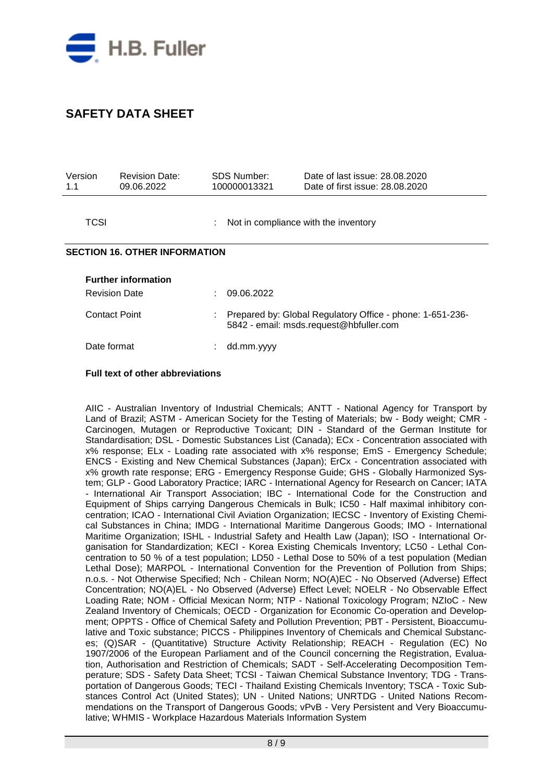

| Version<br>1.1                       | <b>Revision Date:</b><br>09.06.2022                |   | SDS Number:<br>100000013321          | Date of last issue: 28,08,2020<br>Date of first issue: 28.08.2020                                    |  |  |  |
|--------------------------------------|----------------------------------------------------|---|--------------------------------------|------------------------------------------------------------------------------------------------------|--|--|--|
| TCSI                                 |                                                    |   | Not in compliance with the inventory |                                                                                                      |  |  |  |
| <b>SECTION 16. OTHER INFORMATION</b> |                                                    |   |                                      |                                                                                                      |  |  |  |
|                                      | <b>Further information</b><br><b>Revision Date</b> |   | 09.06.2022                           |                                                                                                      |  |  |  |
|                                      | Contact Point                                      | ÷ |                                      | Prepared by: Global Regulatory Office - phone: 1-651-236-<br>5842 - email: msds.request@hbfuller.com |  |  |  |
| Date format                          |                                                    |   | dd.mm.yyyy                           |                                                                                                      |  |  |  |

#### **Full text of other abbreviations**

AIIC - Australian Inventory of Industrial Chemicals; ANTT - National Agency for Transport by Land of Brazil; ASTM - American Society for the Testing of Materials; bw - Body weight; CMR - Carcinogen, Mutagen or Reproductive Toxicant; DIN - Standard of the German Institute for Standardisation; DSL - Domestic Substances List (Canada); ECx - Concentration associated with x% response; ELx - Loading rate associated with x% response; EmS - Emergency Schedule; ENCS - Existing and New Chemical Substances (Japan); ErCx - Concentration associated with x% growth rate response; ERG - Emergency Response Guide; GHS - Globally Harmonized System; GLP - Good Laboratory Practice; IARC - International Agency for Research on Cancer; IATA - International Air Transport Association; IBC - International Code for the Construction and Equipment of Ships carrying Dangerous Chemicals in Bulk; IC50 - Half maximal inhibitory concentration; ICAO - International Civil Aviation Organization; IECSC - Inventory of Existing Chemical Substances in China; IMDG - International Maritime Dangerous Goods; IMO - International Maritime Organization; ISHL - Industrial Safety and Health Law (Japan); ISO - International Organisation for Standardization; KECI - Korea Existing Chemicals Inventory; LC50 - Lethal Concentration to 50 % of a test population; LD50 - Lethal Dose to 50% of a test population (Median Lethal Dose); MARPOL - International Convention for the Prevention of Pollution from Ships; n.o.s. - Not Otherwise Specified; Nch - Chilean Norm; NO(A)EC - No Observed (Adverse) Effect Concentration; NO(A)EL - No Observed (Adverse) Effect Level; NOELR - No Observable Effect Loading Rate; NOM - Official Mexican Norm; NTP - National Toxicology Program; NZIoC - New Zealand Inventory of Chemicals; OECD - Organization for Economic Co-operation and Development; OPPTS - Office of Chemical Safety and Pollution Prevention; PBT - Persistent, Bioaccumulative and Toxic substance; PICCS - Philippines Inventory of Chemicals and Chemical Substances; (Q)SAR - (Quantitative) Structure Activity Relationship; REACH - Regulation (EC) No 1907/2006 of the European Parliament and of the Council concerning the Registration, Evaluation, Authorisation and Restriction of Chemicals; SADT - Self-Accelerating Decomposition Temperature; SDS - Safety Data Sheet; TCSI - Taiwan Chemical Substance Inventory; TDG - Transportation of Dangerous Goods; TECI - Thailand Existing Chemicals Inventory; TSCA - Toxic Substances Control Act (United States); UN - United Nations; UNRTDG - United Nations Recommendations on the Transport of Dangerous Goods; vPvB - Very Persistent and Very Bioaccumulative; WHMIS - Workplace Hazardous Materials Information System